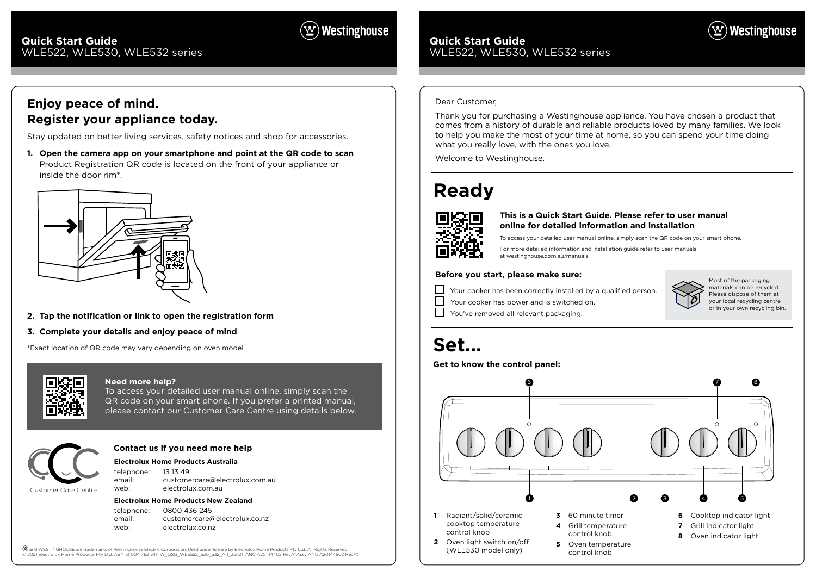Magenta Guides - DO NOT PRINT Print Black 7802

### **Quick Start Guide**  WLE522, WLE530, WLE532 series

## **Ready**



## **Set...**

### **Before you start, please make sure:**

Your cooker has been correctly installed by a qualified person.

Your cooker has power and is switched on.

You've removed all relevant packaging.

To access your detailed user manual online, simply scan the QR code on your smart phone.

For more detailed information and installation guide refer to user manuals at westinghouse.com.au/manuals







### $(\mathbf{\underline{w}})$  Westinghouse

### **Quick Start Guide**  WLE522, WLE530, WLE532 series

### **This is a Quick Start Guide. Please refer to user manual online for detailed information and installation**

Most of the packaging materials can be recycled. Please dispose of them at your local recycling centre or in your own recycling bin.

### Dear Customer,

Thank you for purchasing a Westinghouse appliance. You have chosen a product that comes from a history of durable and reliable products loved by many families. We look to help you make the most of your time at home, so you can spend your time doing what you really love, with the ones you love.

Welcome to Westinghouse.

### **Electrolux Home Products Australia**

telephone: 13 13 49 email: customercare@electrolux.com.au web: electrolux.com.au

### **Electrolux Home Products New Zealand**

telephone: 0800 436 245 email: customercare@electrolux.co.nz web: electrolux.co.nz

(ヅand WESTINGHOUSE are trademarks of Westinghouse Electric Corporation. Used under license by Electrolux Home Products Pty Ltd. All Rights Reserved.<br>© 2021 Electrolux Home Products Pty Ltd. ABN 51 004 762 341 W QSG WLE522

### **Contact us if you need more help**



### **Need more help?**

To access your detailed user manual online, simply scan the QR code on your smart phone. If you prefer a printed manual, please contact our Customer Care Centre using details below.

### **Enjoy peace of mind. Register your appliance today.**

Stay updated on better living services, safety notices and shop for accessories.

**1. Open the camera app on your smartphone and point at the QR code to scan** Product Registration QR code is located on the front of your appliance or inside the door rim\*.



- **2. Tap the notification or link to open the registration form**
- **3. Complete your details and enjoy peace of mind**

\*Exact location of QR code may vary depending on oven model